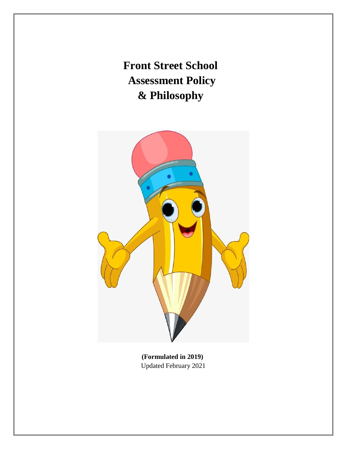**Front Street School Assessment Policy & Philosophy**



**(Formulated in 2019)** Updated February 2021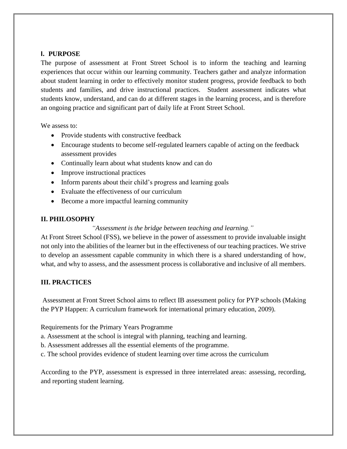## **I. PURPOSE**

The purpose of assessment at Front Street School is to inform the teaching and learning experiences that occur within our learning community. Teachers gather and analyze information about student learning in order to effectively monitor student progress, provide feedback to both students and families, and drive instructional practices. Student assessment indicates what students know, understand, and can do at different stages in the learning process, and is therefore an ongoing practice and significant part of daily life at Front Street School.

We assess to:

- Provide students with constructive feedback
- Encourage students to become self-regulated learners capable of acting on the feedback assessment provides
- Continually learn about what students know and can do
- Improve instructional practices
- Inform parents about their child's progress and learning goals
- Evaluate the effectiveness of our curriculum
- Become a more impactful learning community

## **II. PHILOSOPHY**

## *"Assessment is the bridge between teaching and learning."*

At Front Street School (FSS), we believe in the power of assessment to provide invaluable insight not only into the abilities of the learner but in the effectiveness of our teaching practices. We strive to develop an assessment capable community in which there is a shared understanding of how, what, and why to assess, and the assessment process is collaborative and inclusive of all members.

## **III. PRACTICES**

Assessment at Front Street School aims to reflect IB assessment policy for PYP schools (Making the PYP Happen: A curriculum framework for international primary education, 2009).

Requirements for the Primary Years Programme

- a. Assessment at the school is integral with planning, teaching and learning.
- b. Assessment addresses all the essential elements of the programme.
- c. The school provides evidence of student learning over time across the curriculum

According to the PYP, assessment is expressed in three interrelated areas: assessing, recording, and reporting student learning.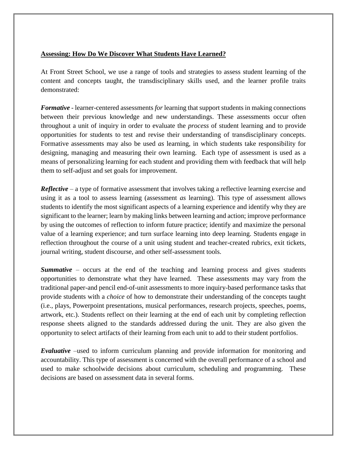## **Assessing: How Do We Discover What Students Have Learned?**

At Front Street School, we use a range of tools and strategies to assess student learning of the content and concepts taught, the transdisciplinary skills used, and the learner profile traits demonstrated:

*Formative* - learner-centered assessments *for* learning that support students in making connections between their previous knowledge and new understandings. These assessments occur often throughout a unit of inquiry in order to evaluate the *process* of student learning and to provide opportunities for students to test and revise their understanding of transdisciplinary concepts. Formative assessments may also be used *as* learning, in which students take responsibility for designing, managing and measuring their own learning. Each type of assessment is used as a means of personalizing learning for each student and providing them with feedback that will help them to self-adjust and set goals for improvement.

*Reflective* – a type of formative assessment that involves taking a reflective learning exercise and using it as a tool to assess learning (assessment *as* learning). This type of assessment allows students to identify the most significant aspects of a learning experience and identify why they are significant to the learner; learn by making links between learning and action; improve performance by using the outcomes of reflection to inform future practice; identify and maximize the personal value of a learning experience; and turn surface learning into deep learning. Students engage in reflection throughout the course of a unit using student and teacher-created rubrics, exit tickets, journal writing, student discourse, and other self-assessment tools.

**Summative** – occurs at the end of the teaching and learning process and gives students opportunities to demonstrate what they have learned. These assessments may vary from the traditional paper-and pencil end-of-unit assessments to more inquiry-based performance tasks that provide students with a *choice* of how to demonstrate their understanding of the concepts taught (i.e., plays, Powerpoint presentations, musical performances, research projects, speeches, poems, artwork, etc.). Students reflect on their learning at the end of each unit by completing reflection response sheets aligned to the standards addressed during the unit. They are also given the opportunity to select artifacts of their learning from each unit to add to their student portfolios.

*Evaluative* –used to inform curriculum planning and provide information for monitoring and accountability. This type of assessment is concerned with the overall performance of a school and used to make schoolwide decisions about curriculum, scheduling and programming. These decisions are based on assessment data in several forms.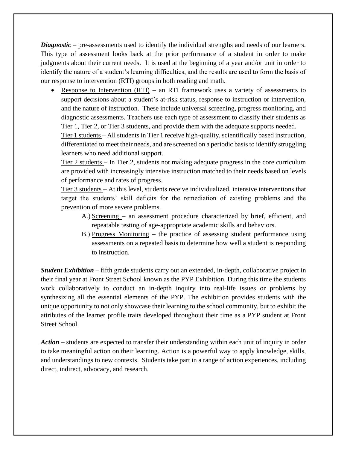*Diagnostic* – pre-assessments used to identify the individual strengths and needs of our learners. This type of assessment looks back at the prior performance of a student in order to make judgments about their current needs. It is used at the beginning of a year and/or unit in order to identify the nature of a student's learning difficulties, and the results are used to form the basis of our response to intervention (RTI) groups in both reading and math.

 Response to Intervention (RTI) – an RTI framework uses a variety of assessments to support decisions about a student's at-risk status, response to instruction or intervention, and the nature of instruction. These include universal screening, progress monitoring, and diagnostic assessments. Teachers use each type of assessment to classify their students as Tier 1, Tier 2, or Tier 3 students, and provide them with the adequate supports needed.

Tier 1 students – All students in Tier 1 receive high-quality, scientifically based instruction, differentiated to meet their needs, and are screened on a periodic basis to identify struggling learners who need additional support.

Tier 2 students – In Tier 2, students not making adequate progress in the core curriculum are provided with increasingly intensive instruction matched to their needs based on levels of performance and rates of progress.

Tier 3 students – At this level, students receive individualized, intensive interventions that target the students' skill deficits for the remediation of existing problems and the prevention of more severe problems.

- A.) Screening an assessment procedure characterized by brief, efficient, and repeatable testing of age-appropriate academic skills and behaviors.
- B.) Progress Monitoring the practice of assessing student performance using assessments on a repeated basis to determine how well a student is responding to instruction.

*Student Exhibition* – fifth grade students carry out an extended, in-depth, collaborative project in their final year at Front Street School known as the PYP Exhibition. During this time the students work collaboratively to conduct an in-depth inquiry into real-life issues or problems by synthesizing all the essential elements of the PYP. The exhibition provides students with the unique opportunity to not only showcase their learning to the school community, but to exhibit the attributes of the learner profile traits developed throughout their time as a PYP student at Front Street School.

*Action* – students are expected to transfer their understanding within each unit of inquiry in order to take meaningful action on their learning. Action is a powerful way to apply knowledge, skills, and understandings to new contexts. Students take part in a range of action experiences, including direct, indirect, advocacy, and research.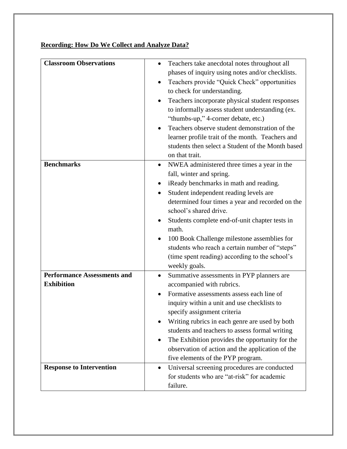|  | <b>Recording: How Do We Collect and Analyze Data?</b> |
|--|-------------------------------------------------------|
|  |                                                       |

| <b>Classroom Observations</b><br>Teachers take anecdotal notes throughout all<br>phases of inquiry using notes and/or checklists.<br>Teachers provide "Quick Check" opportunities<br>$\bullet$<br>to check for understanding.<br>Teachers incorporate physical student responses<br>to informally assess student understanding (ex.<br>"thumbs-up," 4-corner debate, etc.)<br>Teachers observe student demonstration of the<br>learner profile trait of the month. Teachers and |
|---------------------------------------------------------------------------------------------------------------------------------------------------------------------------------------------------------------------------------------------------------------------------------------------------------------------------------------------------------------------------------------------------------------------------------------------------------------------------------|
|                                                                                                                                                                                                                                                                                                                                                                                                                                                                                 |
|                                                                                                                                                                                                                                                                                                                                                                                                                                                                                 |
|                                                                                                                                                                                                                                                                                                                                                                                                                                                                                 |
|                                                                                                                                                                                                                                                                                                                                                                                                                                                                                 |
|                                                                                                                                                                                                                                                                                                                                                                                                                                                                                 |
|                                                                                                                                                                                                                                                                                                                                                                                                                                                                                 |
|                                                                                                                                                                                                                                                                                                                                                                                                                                                                                 |
|                                                                                                                                                                                                                                                                                                                                                                                                                                                                                 |
|                                                                                                                                                                                                                                                                                                                                                                                                                                                                                 |
| students then select a Student of the Month based                                                                                                                                                                                                                                                                                                                                                                                                                               |
| on that trait.                                                                                                                                                                                                                                                                                                                                                                                                                                                                  |
| <b>Benchmarks</b><br>NWEA administered three times a year in the                                                                                                                                                                                                                                                                                                                                                                                                                |
| fall, winter and spring.                                                                                                                                                                                                                                                                                                                                                                                                                                                        |
| iReady benchmarks in math and reading.                                                                                                                                                                                                                                                                                                                                                                                                                                          |
| Student independent reading levels are                                                                                                                                                                                                                                                                                                                                                                                                                                          |
| determined four times a year and recorded on the                                                                                                                                                                                                                                                                                                                                                                                                                                |
| school's shared drive.                                                                                                                                                                                                                                                                                                                                                                                                                                                          |
| Students complete end-of-unit chapter tests in                                                                                                                                                                                                                                                                                                                                                                                                                                  |
| math.                                                                                                                                                                                                                                                                                                                                                                                                                                                                           |
| 100 Book Challenge milestone assemblies for                                                                                                                                                                                                                                                                                                                                                                                                                                     |
| students who reach a certain number of "steps"                                                                                                                                                                                                                                                                                                                                                                                                                                  |
| (time spent reading) according to the school's                                                                                                                                                                                                                                                                                                                                                                                                                                  |
| weekly goals.                                                                                                                                                                                                                                                                                                                                                                                                                                                                   |
| <b>Performance Assessments and</b><br>Summative assessments in PYP planners are<br>$\bullet$                                                                                                                                                                                                                                                                                                                                                                                    |
| <b>Exhibition</b><br>accompanied with rubrics.                                                                                                                                                                                                                                                                                                                                                                                                                                  |
| Formative assessments assess each line of                                                                                                                                                                                                                                                                                                                                                                                                                                       |
| inquiry within a unit and use checklists to                                                                                                                                                                                                                                                                                                                                                                                                                                     |
| specify assignment criteria                                                                                                                                                                                                                                                                                                                                                                                                                                                     |
| Writing rubrics in each genre are used by both                                                                                                                                                                                                                                                                                                                                                                                                                                  |
| students and teachers to assess formal writing                                                                                                                                                                                                                                                                                                                                                                                                                                  |
| The Exhibition provides the opportunity for the                                                                                                                                                                                                                                                                                                                                                                                                                                 |
| observation of action and the application of the                                                                                                                                                                                                                                                                                                                                                                                                                                |
| five elements of the PYP program.                                                                                                                                                                                                                                                                                                                                                                                                                                               |
| <b>Response to Intervention</b><br>Universal screening procedures are conducted<br>$\bullet$                                                                                                                                                                                                                                                                                                                                                                                    |
| for students who are "at-risk" for academic                                                                                                                                                                                                                                                                                                                                                                                                                                     |
| failure.                                                                                                                                                                                                                                                                                                                                                                                                                                                                        |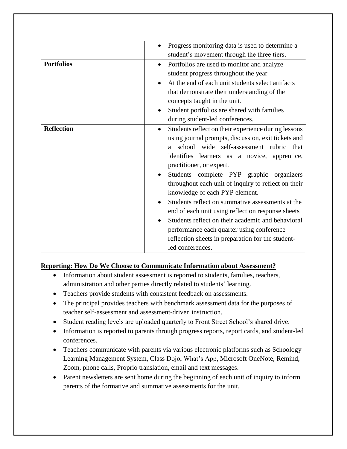|                   | Progress monitoring data is used to determine a<br>$\bullet$                                     |
|-------------------|--------------------------------------------------------------------------------------------------|
|                   | student's movement through the three tiers.                                                      |
| <b>Portfolios</b> | Portfolios are used to monitor and analyze<br>$\bullet$<br>student progress throughout the year  |
|                   | At the end of each unit students select artifacts<br>that demonstrate their understanding of the |
|                   | concepts taught in the unit.                                                                     |
|                   | Student portfolios are shared with families<br>$\bullet$                                         |
|                   | during student-led conferences.                                                                  |
| <b>Reflection</b> | Students reflect on their experience during lessons<br>$\bullet$                                 |
|                   | using journal prompts, discussion, exit tickets and                                              |
|                   | school wide self-assessment rubric<br>that<br>a a                                                |
|                   | identifies learners as a novice, apprentice,                                                     |
|                   | practitioner, or expert.                                                                         |
|                   | Students complete PYP graphic organizers                                                         |
|                   | throughout each unit of inquiry to reflect on their                                              |
|                   | knowledge of each PYP element.                                                                   |
|                   | Students reflect on summative assessments at the                                                 |
|                   | end of each unit using reflection response sheets                                                |
|                   | Students reflect on their academic and behavioral                                                |
|                   | performance each quarter using conference                                                        |
|                   |                                                                                                  |
|                   | reflection sheets in preparation for the student-                                                |
|                   | led conferences.                                                                                 |

# **Reporting: How Do We Choose to Communicate Information about Assessment?**

- Information about student assessment is reported to students, families, teachers, administration and other parties directly related to students' learning.
- Teachers provide students with consistent feedback on assessments.
- The principal provides teachers with benchmark assessment data for the purposes of teacher self-assessment and assessment-driven instruction.
- Student reading levels are uploaded quarterly to Front Street School's shared drive.
- Information is reported to parents through progress reports, report cards, and student-led conferences.
- Teachers communicate with parents via various electronic platforms such as Schoology Learning Management System, Class Dojo, What's App, Microsoft OneNote, Remind, Zoom, phone calls, Proprio translation, email and text messages.
- Parent newsletters are sent home during the beginning of each unit of inquiry to inform parents of the formative and summative assessments for the unit.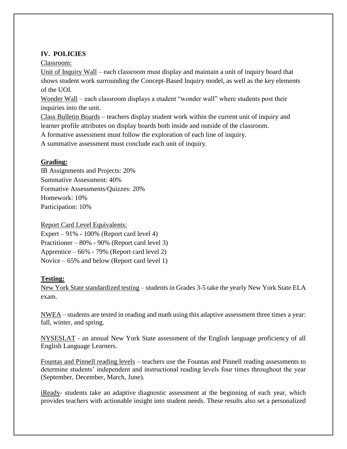# **IV. POLICIES**

Classroom:

Unit of Inquiry Wall – each classroom must display and maintain a unit of inquiry board that shows student work surrounding the Concept-Based Inquiry model, as well as the key elements of the UOI.

Wonder Wall – each classroom displays a student "wonder wall" where students post their inquiries into the unit.

Class Bulletin Boards – teachers display student work within the current unit of inquiry and learner profile attributes on display boards both inside and outside of the classroom.

A formative assessment must follow the exploration of each line of inquiry.

A summative assessment must conclude each unit of inquiry.

# **Grading:**

IB Assignments and Projects: 20% Summative Assessment: 40% Formative Assessments/Quizzes: 20% Homework: 10% Participation: 10%

Report Card Level Equivalents:

Expert – 91% - 100% (Report card level 4) Practitioner – 80% - 90% (Report card level 3) Apprentice – 66% - 79% (Report card level 2) Novice – 65% and below (Report card level 1)

# **Testing:**

New York State standardized testing – students in Grades 3-5 take the yearly New York State ELA exam.

NWEA – students are tested in reading and math using this adaptive assessment three times a year: fall, winter, and spring.

NYSESLAT - an annual New York State assessment of the English language proficiency of all English Language Learners.

Fountas and Pinnell reading levels – teachers use the Fountas and Pinnell reading assessments to determine students' independent and instructional reading levels four times throughout the year (September, December, March, June).

iReady- students take an adaptive diagnostic assessment at the beginning of each year, which provides teachers with actionable insight into student needs. These results also set a personalized